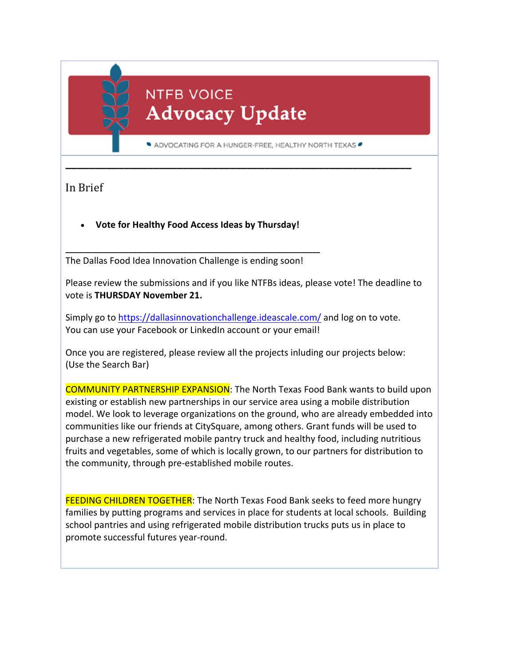## **NTFB VOICE Advocacy Update**

ADVOCATING FOR A HUNGER-FREE, HEALTHY NORTH TEXAS

**\_\_\_\_\_\_\_\_\_\_\_\_\_\_\_\_\_\_\_\_\_\_\_\_\_\_\_\_\_\_\_\_\_\_\_\_\_\_\_\_\_\_\_\_\_\_\_\_\_\_\_\_\_\_\_\_\_\_\_**

In Brief

**Vote for Healthy Food Access Ideas by Thursday!**

**\_\_\_\_\_\_\_\_\_\_\_\_\_\_\_\_\_\_\_\_\_\_\_\_\_\_\_\_\_\_\_\_\_\_\_\_\_\_\_\_\_\_\_\_\_\_\_\_\_\_\_\_\_\_\_\_\_\_\_\_\_\_\_\_\_\_\_\_**

The Dallas Food Idea Innovation Challenge is ending soon!

Please review the submissions and if you like NTFBs ideas, please vote! The deadline to vote is **THURSDAY November 21.**

Simply go to https://dallasinnovationchallenge.ideascale.com/ and log on to vote. You can use your Facebook or LinkedIn account or your email!

Once you are registered, please review all the projects inluding our projects below: (Use the Search Bar)

COMMUNITY PARTNERSHIP EXPANSION: The North Texas Food Bank wants to build upon existing or establish new partnerships in our service area using a mobile distribution model. We look to leverage organizations on the ground, who are already embedded into communities like our friends at CitySquare, among others. Grant funds will be used to purchase a new refrigerated mobile pantry truck and healthy food, including nutritious fruits and vegetables, some of which is locally grown, to our partners for distribution to the community, through pre‐established mobile routes.

FEEDING CHILDREN TOGETHER: The North Texas Food Bank seeks to feed more hungry families by putting programs and services in place for students at local schools. Building school pantries and using refrigerated mobile distribution trucks puts us in place to promote successful futures year‐round.